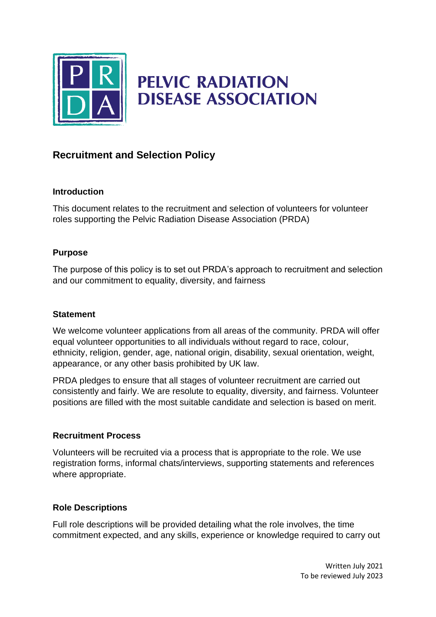

# **PELVIC RADIATION DISEASE ASSOCIATION**

# **Recruitment and Selection Policy**

#### **Introduction**

This document relates to the recruitment and selection of volunteers for volunteer roles supporting the Pelvic Radiation Disease Association (PRDA)

# **Purpose**

The purpose of this policy is to set out PRDA's approach to recruitment and selection and our commitment to equality, diversity, and fairness

# **Statement**

We welcome volunteer applications from all areas of the community. PRDA will offer equal volunteer opportunities to all individuals without regard to race, colour, ethnicity, religion, gender, age, national origin, disability, sexual orientation, weight, appearance, or any other basis prohibited by UK law.

PRDA pledges to ensure that all stages of volunteer recruitment are carried out consistently and fairly. We are resolute to equality, diversity, and fairness. Volunteer positions are filled with the most suitable candidate and selection is based on merit.

# **Recruitment Process**

Volunteers will be recruited via a process that is appropriate to the role. We use registration forms, informal chats/interviews, supporting statements and references where appropriate.

#### **Role Descriptions**

Full role descriptions will be provided detailing what the role involves, the time commitment expected, and any skills, experience or knowledge required to carry out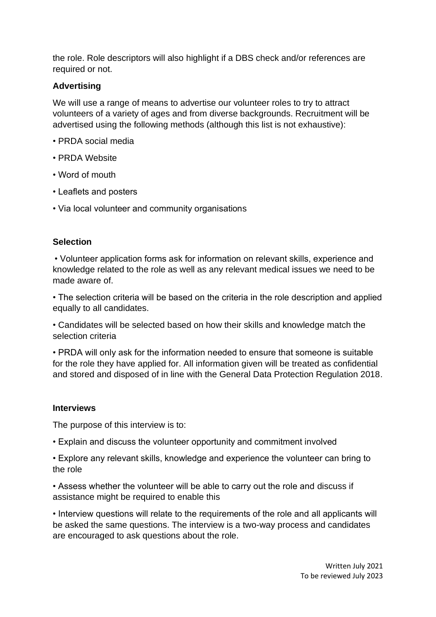the role. Role descriptors will also highlight if a DBS check and/or references are required or not.

# **Advertising**

We will use a range of means to advertise our volunteer roles to try to attract volunteers of a variety of ages and from diverse backgrounds. Recruitment will be advertised using the following methods (although this list is not exhaustive):

- PRDA social media
- PRDA Website
- Word of mouth
- Leaflets and posters
- Via local volunteer and community organisations

#### **Selection**

• Volunteer application forms ask for information on relevant skills, experience and knowledge related to the role as well as any relevant medical issues we need to be made aware of.

• The selection criteria will be based on the criteria in the role description and applied equally to all candidates.

• Candidates will be selected based on how their skills and knowledge match the selection criteria

• PRDA will only ask for the information needed to ensure that someone is suitable for the role they have applied for. All information given will be treated as confidential and stored and disposed of in line with the General Data Protection Regulation 2018.

#### **Interviews**

The purpose of this interview is to:

• Explain and discuss the volunteer opportunity and commitment involved

• Explore any relevant skills, knowledge and experience the volunteer can bring to the role

• Assess whether the volunteer will be able to carry out the role and discuss if assistance might be required to enable this

• Interview questions will relate to the requirements of the role and all applicants will be asked the same questions. The interview is a two-way process and candidates are encouraged to ask questions about the role.